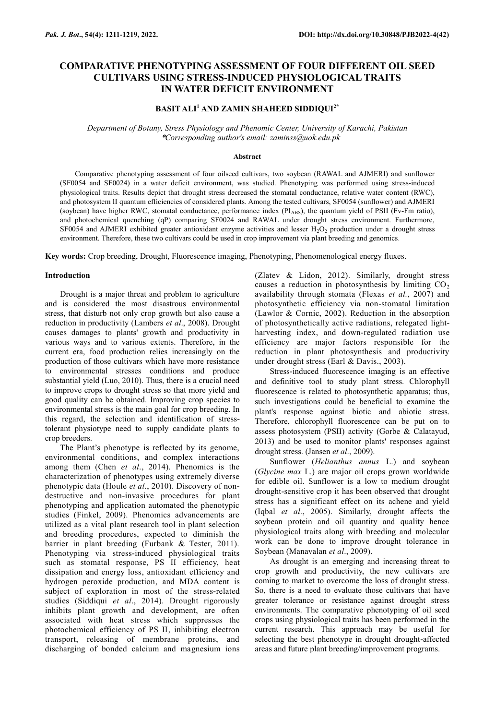# **COMPARATIVE PHENOTYPING ASSESSMENT OF FOUR DIFFERENT OIL SEED CULTIVARS USING STRESS-INDUCED PHYSIOLOGICAL TRAITS IN WATER DEFICIT ENVIRONMENT**

# **BASIT ALI<sup>1</sup> AND ZAMIN SHAHEED SIDDIQUI2\***

*Department of Botany, Stress Physiology and Phenomic Center, University of Karachi, Pakistan* \**Corresponding author's email: zaminss@uok.edu.pk*

## **Abstract**

Comparative phenotyping assessment of four oilseed cultivars, two soybean (RAWAL and AJMERI) and sunflower (SF0054 and SF0024) in a water deficit environment, was studied. Phenotyping was performed using stress-induced physiological traits. Results depict that drought stress decreased the stomatal conductance, relative water content (RWC), and photosystem II quantum efficiencies of considered plants. Among the tested cultivars, SF0054 (sunflower) and AJMERI (soybean) have higher RWC, stomatal conductance, performance index  $(PI_{ABS})$ , the quantum yield of PSII (Fv-Fm ratio), and photochemical quenching (qP) comparing SF0024 and RAWAL under drought stress environment. Furthermore, SF0054 and AJMERI exhibited greater antioxidant enzyme activities and lesser  $H_2O_2$  production under a drought stress environment. Therefore, these two cultivars could be used in crop improvement via plant breeding and genomics.

**Key words:** Crop breeding, Drought, Fluorescence imaging, Phenotyping, Phenomenological energy fluxes.

## **Introduction**

Drought is a major threat and problem to agriculture and is considered the most disastrous environmental stress, that disturb not only crop growth but also cause a reduction in productivity (Lambers *et al*., 2008). Drought causes damages to plants' growth and productivity in various ways and to various extents. Therefore, in the current era, food production relies increasingly on the production of those cultivars which have more resistance to environmental stresses conditions and produce substantial yield (Luo, 2010). Thus, there is a crucial need to improve crops to drought stress so that more yield and good quality can be obtained. Improving crop species to environmental stress is the main goal for crop breeding. In this regard, the selection and identification of stresstolerant physiotype need to supply candidate plants to crop breeders.

The Plant's phenotype is reflected by its genome, environmental conditions, and complex interactions among them (Chen *et al*., 2014). Phenomics is the characterization of phenotypes using extremely diverse phenotypic data (Houle *et al*., 2010). Discovery of nondestructive and non-invasive procedures for plant phenotyping and application automated the phenotypic studies (Finkel, 2009). Phenomics advancements are utilized as a vital plant research tool in plant selection and breeding procedures, expected to diminish the barrier in plant breeding (Furbank & Tester, 2011). Phenotyping via stress-induced physiological traits such as stomatal response, PS II efficiency, heat dissipation and energy loss, antioxidant efficiency and hydrogen peroxide production, and MDA content is subject of exploration in most of the stress-related studies (Siddiqui *et al*., 2014). Drought rigorously inhibits plant growth and development, are often associated with heat stress which suppresses the photochemical efficiency of PS II, inhibiting electron transport, releasing of membrane proteins, and discharging of bonded calcium and magnesium ions

(Zlatev & Lidon, 2012). Similarly, drought stress causes a reduction in photosynthesis by limiting  $CO<sub>2</sub>$ availability through stomata (Flexas *et al.*, 2007) and photosynthetic efficiency via non-stomatal limitation (Lawlor & Cornic, 2002). Reduction in the absorption of photosynthetically active radiations, relegated lightharvesting index, and down-regulated radiation use efficiency are major factors responsible for the reduction in plant photosynthesis and productivity under drought stress (Earl & Davis., 2003).

Stress-induced fluorescence imaging is an effective and definitive tool to study plant stress. Chlorophyll fluorescence is related to photosynthetic apparatus; thus, such investigations could be beneficial to examine the plant's response against biotic and abiotic stress. Therefore, chlorophyll fluorescence can be put on to assess photosystem (PSII) activity (Gorbe & Calatayud, 2013) and be used to monitor plants' responses against drought stress. (Jansen *et al*., 2009).

Sunflower (*Helianthus annus* L.) and soybean (*Glycine max* L.) are major oil crops grown worldwide for edible oil. Sunflower is a low to medium drought drought-sensitive crop it has been observed that drought stress has a significant effect on its achene and yield (Iqbal *et al*., 2005). Similarly, drought affects the soybean protein and oil quantity and quality hence physiological traits along with breeding and molecular work can be done to improve drought tolerance in Soybean (Manavalan *et al*., 2009).

As drought is an emerging and increasing threat to crop growth and productivity, the new cultivars are coming to market to overcome the loss of drought stress. So, there is a need to evaluate those cultivars that have greater tolerance or resistance against drought stress environments. The comparative phenotyping of oil seed crops using physiological traits has been performed in the current research. This approach may be useful for selecting the best phenotype in drought drought-affected areas and future plant breeding/improvement programs.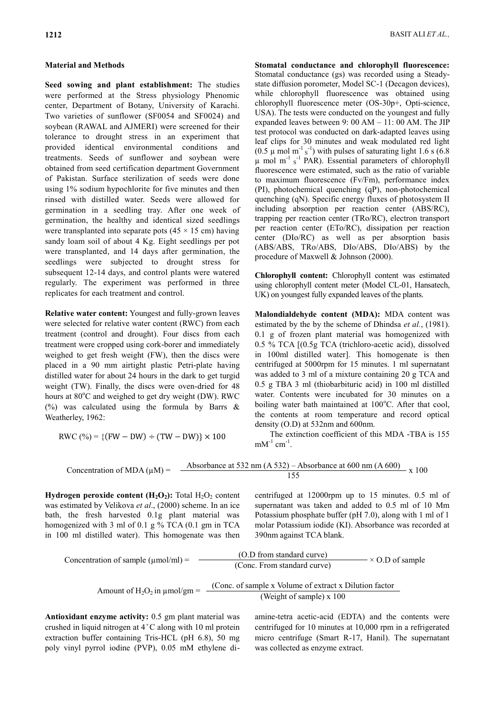# **Material and Methods**

**Seed sowing and plant establishment:** The studies were performed at the Stress physiology Phenomic center, Department of Botany, University of Karachi. Two varieties of sunflower (SF0054 and SF0024) and soybean (RAWAL and AJMERI) were screened for their tolerance to drought stress in an experiment that provided identical environmental conditions and treatments. Seeds of sunflower and soybean were obtained from seed certification department Government of Pakistan. Surface sterilization of seeds were done using 1% sodium hypochlorite for five minutes and then rinsed with distilled water. Seeds were allowed for germination in a seedling tray. After one week of germination, the healthy and identical sized seedlings were transplanted into separate pots  $(45 \times 15 \text{ cm})$  having sandy loam soil of about 4 Kg. Eight seedlings per pot were transplanted, and 14 days after germination, the seedlings were subjected to drought stress for subsequent 12-14 days, and control plants were watered regularly. The experiment was performed in three replicates for each treatment and control.

**Relative water content:** Youngest and fully-grown leaves were selected for relative water content (RWC) from each treatment (control and drought). Four discs from each treatment were cropped using cork-borer and immediately weighed to get fresh weight (FW), then the discs were placed in a 90 mm airtight plastic Petri-plate having distilled water for about 24 hours in the dark to get turgid weight (TW). Finally, the discs were oven-dried for 48 hours at  $80^{\circ}$ C and weighed to get dry weight (DW). RWC (%) was calculated using the formula by Barrs  $\&$ Weatherley, 1962:

$$
RWC (%) = \{(FW - DW) \div (TW - DW)\} \times 100
$$

**Stomatal conductance and chlorophyll fluorescence:** Stomatal conductance (gs) was recorded using a Steadystate diffusion porometer, Model SC-1 (Decagon devices), while chlorophyll fluorescence was obtained using chlorophyll fluorescence meter (OS-30p+, Opti-science, USA). The tests were conducted on the youngest and fully expanded leaves between 9: 00 AM – 11: 00 AM. The JIP test protocol was conducted on dark-adapted leaves using leaf clips for 30 minutes and weak modulated red light (0.5  $\mu$  mol m<sup>-1</sup> s<sup>-1</sup>) with pulses of saturating light 1.6 s (6.8)  $\mu$  mol m<sup>-1</sup> s<sup>-1</sup> PAR). Essential parameters of chlorophyll fluorescence were estimated, such as the ratio of variable to maximum fluorescence (Fv/Fm), performance index (PI), photochemical quenching (qP), non-photochemical quenching (qN). Specific energy fluxes of photosystem II including absorption per reaction center (ABS/RC), trapping per reaction center (TRo/RC), electron transport per reaction center (ETo/RC), dissipation per reaction center (DIo/RC) as well as per absorption basis (ABS/ABS, TRo/ABS, DIo/ABS, DIo/ABS) by the procedure of Maxwell & Johnson (2000).

**Chlorophyll content:** Chlorophyll content was estimated using chlorophyll content meter (Model CL-01, Hansatech, UK) on youngest fully expanded leaves of the plants.

**Malondialdehyde content (MDA):** MDA content was estimated by the by the scheme of Dhindsa *et al.*, (1981). 0.1 g of frozen plant material was homogenized with 0.5 % TCA [(0.5g TCA (trichloro-acetic acid), dissolved in 100ml distilled water]. This homogenate is then centrifuged at 5000rpm for 15 minutes. 1 ml supernatant was added to 3 ml of a mixture containing 20 g TCA and 0.5 g TBA 3 ml (thiobarbituric acid) in 100 ml distilled water. Contents were incubated for 30 minutes on a boiling water bath maintained at  $100^{\circ}$ C. After that cool, the contents at room temperature and record optical density (O.D) at 532nm and 600nm.

The extinction coefficient of this MDA -TBA is 155  $mM^{-1}$  cm<sup>-1</sup>.

Concentration of MDA (
$$
\mu
$$
M) = 
$$
\frac{\text{Absorbance at 532 nm (A 532) - Absorbance at 600 nm (A 600)}}{155} \times 100
$$

**Hydrogen peroxide content**  $(H_2O_2)$ **: Total**  $H_2O_2$  **content** was estimated by Velikova *et al*., (2000) scheme. In an ice bath, the fresh harvested 0.1g plant material was homogenized with 3 ml of 0.1 g  $%$  TCA (0.1 gm in TCA in 100 ml distilled water). This homogenate was then

centrifuged at 12000rpm up to 15 minutes. 0.5 ml of supernatant was taken and added to 0.5 ml of 10 Mm Potassium phosphate buffer (pH 7.0), along with 1 ml of 1 molar Potassium iodide (KI). Absorbance was recorded at 390nm against TCA blank.

Concentration of sample (µmol/ml) = 
$$
\frac{\text{(O.D from standard curve)}}{\text{(Conc. From standard curve)}} \times \text{O.D of sample}
$$
  
\nAmount of H<sub>2</sub>O<sub>2</sub> in µmol/gm =  $\frac{\text{(Conc. of sample x Volume of extract x Dilution factor}}{\text{(Weight of sample) x 100}}$ 

**Antioxidant enzyme activity:** 0.5 gm plant material was crushed in liquid nitrogen at 4 ̊ C along with 10 ml protein extraction buffer containing Tris-HCL (pH 6.8), 50 mg poly vinyl pyrrol iodine (PVP), 0.05 mM ethylene di-

amine-tetra acetic-acid (EDTA) and the contents were centrifuged for 10 minutes at 10,000 rpm in a refrigerated micro centrifuge (Smart R-17, Hanil). The supernatant was collected as enzyme extract.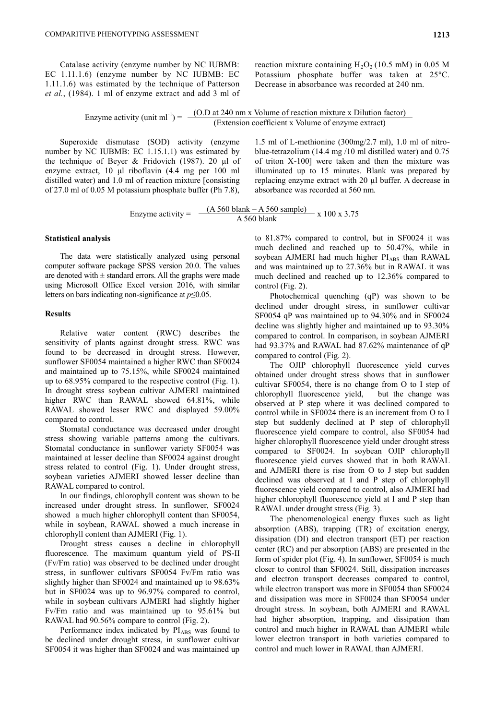reaction mixture containing  $H_2O_2$  (10.5 mM) in 0.05 M Potassium phosphate buffer was taken at 25°C. Decrease in absorbance was recorded at 240 nm.

Enzyme activity (unit ml<sup>-1</sup>) =  $\frac{(O.D at 240 \text{ nm x} \text{ Volume of reaction mixture x } Dilution factor)}{Extension coefficient x \text{ Volume of enzyme extract)}}$ 

Superoxide dismutase (SOD) activity (enzyme number by NC IUBMB: EC 1.15.1.1) was estimated by the technique of Beyer & Fridovich (1987). 20 μl of enzyme extract, 10 μl riboflavin (4.4 mg per 100 ml distilled water) and 1.0 ml of reaction mixture [consisting of 27.0 ml of 0.05 M potassium phosphate buffer (Ph 7.8),

1.5 ml of L-methionine (300mg/2.7 ml), 1.0 ml of nitroblue-tetrazolium (14.4 mg /10 ml distilled water) and 0.75 of triton X-100] were taken and then the mixture was illuminated up to 15 minutes. Blank was prepared by replacing enzyme extract with 20 µl buffer. A decrease in absorbance was recorded at 560 nm.

Enzyme activity = 
$$
\frac{(A\,560\text{ blank} - A\,560\text{ sample})}{A\,560\text{ blank}} \times 100 \times 3.75
$$

#### **Statistical analysis**

The data were statistically analyzed using personal computer software package SPSS version 20.0. The values are denoted with  $\pm$  standard errors. All the graphs were made using Microsoft Office Excel version 2016, with similar letters on bars indicating non-significance at *p*≤0.05.

### **Results**

Relative water content (RWC) describes the sensitivity of plants against drought stress. RWC was found to be decreased in drought stress. However, sunflower SF0054 maintained a higher RWC than SF0024 and maintained up to 75.15%, while SF0024 maintained up to 68.95% compared to the respective control (Fig. 1). In drought stress soybean cultivar AJMERI maintained higher RWC than RAWAL showed 64.81%, while RAWAL showed lesser RWC and displayed 59.00% compared to control.

Stomatal conductance was decreased under drought stress showing variable patterns among the cultivars. Stomatal conductance in sunflower variety SF0054 was maintained at lesser decline than SF0024 against drought stress related to control (Fig. 1). Under drought stress, soybean varieties AJMERI showed lesser decline than RAWAL compared to control.

In our findings, chlorophyll content was shown to be increased under drought stress. In sunflower, SF0024 showed a much higher chlorophyll content than SF0054, while in soybean, RAWAL showed a much increase in chlorophyll content than AJMERI (Fig. 1).

Drought stress causes a decline in chlorophyll fluorescence. The maximum quantum yield of PS-II (Fv/Fm ratio) was observed to be declined under drought stress, in sunflower cultivars SF0054 Fv/Fm ratio was slightly higher than SF0024 and maintained up to 98.63% but in SF0024 was up to 96.97% compared to control, while in soybean cultivars AJMERI had slightly higher Fv/Fm ratio and was maintained up to 95.61% but RAWAL had 90.56% compare to control (Fig. 2).

Performance index indicated by PIABS was found to be declined under drought stress, in sunflower cultivar SF0054 it was higher than SF0024 and was maintained up

to 81.87% compared to control, but in SF0024 it was much declined and reached up to 50.47%, while in soybean AJMERI had much higher PIABS than RAWAL and was maintained up to 27.36% but in RAWAL it was much declined and reached up to 12.36% compared to control (Fig. 2).

Photochemical quenching (qP) was shown to be declined under drought stress, in sunflower cultivar SF0054 qP was maintained up to 94.30% and in SF0024 decline was slightly higher and maintained up to 93.30% compared to control. In comparison, in soybean AJMERI had 93.37% and RAWAL had 87.62% maintenance of qP compared to control (Fig. 2).

The OJIP chlorophyll fluorescence yield curves obtained under drought stress shows that in sunflower cultivar SF0054, there is no change from O to I step of chlorophyll fluorescence yield, but the change was observed at P step where it was declined compared to control while in SF0024 there is an increment from O to I step but suddenly declined at P step of chlorophyll fluorescence yield compare to control, also SF0054 had higher chlorophyll fluorescence yield under drought stress compared to SF0024. In soybean OJIP chlorophyll fluorescence yield curves showed that in both RAWAL and AJMERI there is rise from O to J step but sudden declined was observed at I and P step of chlorophyll fluorescence yield compared to control, also AJMERI had higher chlorophyll fluorescence yield at I and P step than RAWAL under drought stress (Fig. 3).

The phenomenological energy fluxes such as light absorption (ABS), trapping (TR) of excitation energy, dissipation (DI) and electron transport (ET) per reaction center (RC) and per absorption (ABS) are presented in the form of spider plot (Fig. 4). In sunflower, SF0054 is much closer to control than SF0024. Still, dissipation increases and electron transport decreases compared to control, while electron transport was more in SF0054 than SF0024 and dissipation was more in SF0024 than SF0054 under drought stress. In soybean, both AJMERI and RAWAL had higher absorption, trapping, and dissipation than control and much higher in RAWAL than AJMERI while lower electron transport in both varieties compared to control and much lower in RAWAL than AJMERI.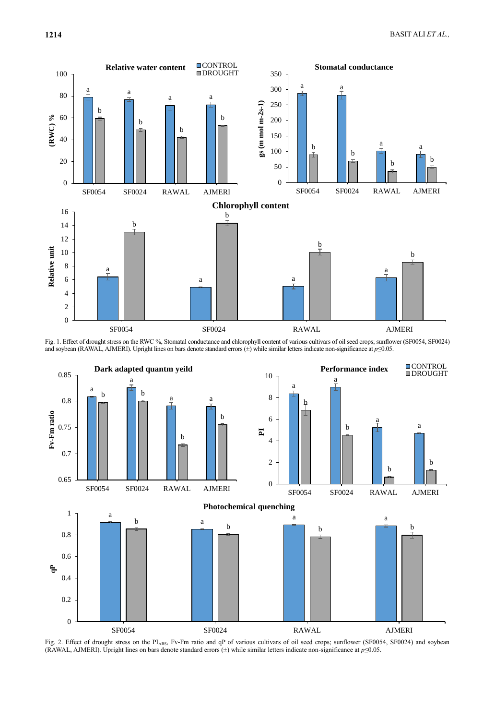

Fig. 1. Effect of drought stress on the RWC %, Stomatal conductance and chlorophyll content of various cultivars of oil seed crops; sunflower (SF0054, SF0024) and soybean (RAWAL, AJMERI). Upright lines on bars denote standard errors (±) while similar letters indicate non-significance at *p*≤0.05.



Fig. 2. Effect of drought stress on the PIABS, Fv-Fm ratio and qP of various cultivars of oil seed crops; sunflower (SF0054, SF0024) and soybean (RAWAL, AJMERI). Upright lines on bars denote standard errors (±) while similar letters indicate non-significance at *p*≤0.05.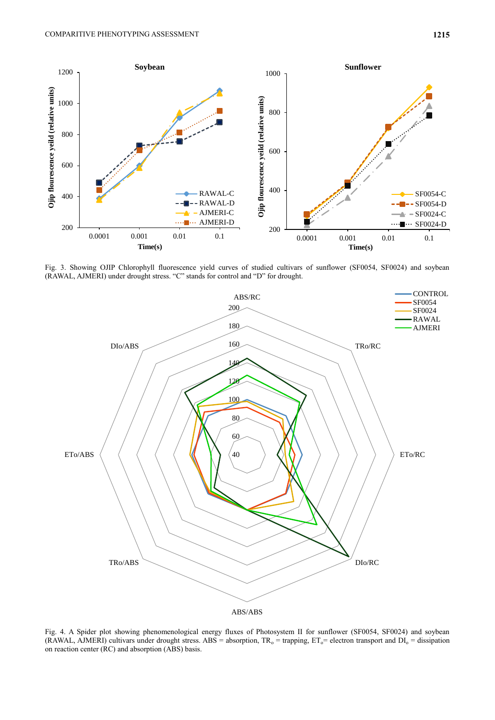

Fig. 3. Showing OJIP Chlorophyll fluorescence yield curves of studied cultivars of sunflower (SF0054, SF0024) and soybean (RAWAL, AJMERI) under drought stress. "C" stands for control and "D" for drought.



Fig. 4. A Spider plot showing phenomenological energy fluxes of Photosystem II for sunflower (SF0054, SF0024) and soybean (RAWAL, AJMERI) cultivars under drought stress. ABS = absorption,  $TR_0 =$  trapping,  $ET_0 =$  electron transport and  $DI_0 =$  dissipation on reaction center (RC) and absorption (ABS) basis.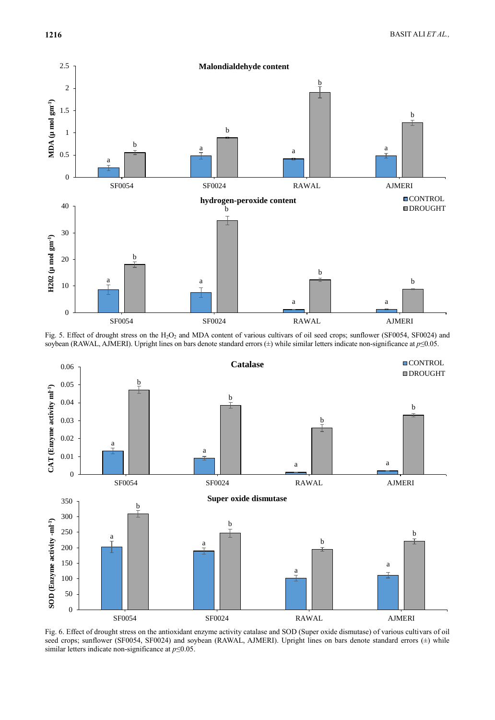

Fig. 5. Effect of drought stress on the H<sub>2</sub>O<sub>2</sub> and MDA content of various cultivars of oil seed crops; sunflower (SF0054, SF0024) and soybean (RAWAL, AJMERI). Upright lines on bars denote standard errors (±) while similar letters indicate non-significance at *p*≤0.05.



Fig. 6. Effect of drought stress on the antioxidant enzyme activity catalase and SOD (Super oxide dismutase) of various cultivars of oil seed crops; sunflower (SF0054, SF0024) and soybean (RAWAL, AJMERI). Upright lines on bars denote standard errors (±) while similar letters indicate non-significance at *p*≤0.05.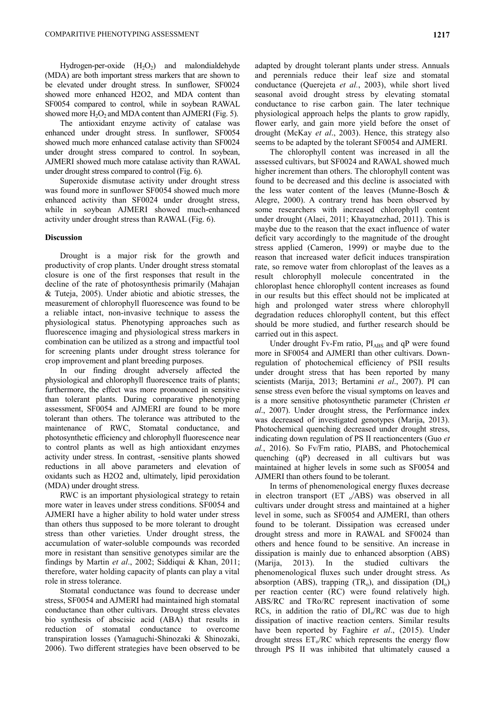Hydrogen-per-oxide  $(H_2O_2)$  and malondialdehyde (MDA) are both important stress markers that are shown to be elevated under drought stress. In sunflower, SF0024 showed more enhanced H2O2, and MDA content than SF0054 compared to control, while in soybean RAWAL showed more  $H_2O_2$  and MDA content than AJMERI (Fig. 5).

The antioxidant enzyme activity of catalase was enhanced under drought stress. In sunflower, SF0054 showed much more enhanced catalase activity than SF0024 under drought stress compared to control. In soybean, AJMERI showed much more catalase activity than RAWAL under drought stress compared to control (Fig. 6).

Superoxide dismutase activity under drought stress was found more in sunflower SF0054 showed much more enhanced activity than SF0024 under drought stress, while in soybean AJMERI showed much-enhanced activity under drought stress than RAWAL (Fig. 6).

### **Discussion**

Drought is a major risk for the growth and productivity of crop plants. Under drought stress stomatal closure is one of the first responses that result in the decline of the rate of photosynthesis primarily (Mahajan & Tuteja, 2005). Under abiotic and abiotic stresses, the measurement of chlorophyll fluorescence was found to be a reliable intact, non-invasive technique to assess the physiological status. Phenotyping approaches such as fluorescence imaging and physiological stress markers in combination can be utilized as a strong and impactful tool for screening plants under drought stress tolerance for crop improvement and plant breeding purposes.

In our finding drought adversely affected the physiological and chlorophyll fluorescence traits of plants; furthermore, the effect was more pronounced in sensitive than tolerant plants. During comparative phenotyping assessment, SF0054 and AJMERI are found to be more tolerant than others. The tolerance was attributed to the maintenance of RWC, Stomatal conductance, and photosynthetic efficiency and chlorophyll fluorescence near to control plants as well as high antioxidant enzymes activity under stress. In contrast, -sensitive plants showed reductions in all above parameters and elevation of oxidants such as H2O2 and, ultimately, lipid peroxidation (MDA) under drought stress.

RWC is an important physiological strategy to retain more water in leaves under stress conditions. SF0054 and AJMERI have a higher ability to hold water under stress than others thus supposed to be more tolerant to drought stress than other varieties. Under drought stress, the accumulation of water-soluble compounds was recorded more in resistant than sensitive genotypes similar are the findings by Martin *et al*., 2002; Siddiqui & Khan, 2011; therefore, water holding capacity of plants can play a vital role in stress tolerance.

Stomatal conductance was found to decrease under stress, SF0054 and AJMERI had maintained high stomatal conductance than other cultivars. Drought stress elevates bio synthesis of abscisic acid (ABA) that results in reduction of stomatal conductance to overcome transpiration losses (Yamaguchi-Shinozaki & Shinozaki, 2006). Two different strategies have been observed to be

adapted by drought tolerant plants under stress. Annuals and perennials reduce their leaf size and stomatal conductance (Querejeta *et al.*, 2003), while short lived seasonal avoid drought stress by elevating stomatal conductance to rise carbon gain. The later technique physiological approach helps the plants to grow rapidly, flower early, and gain more yield before the onset of drought (McKay *et al*., 2003). Hence, this strategy also seems to be adapted by the tolerant SF0054 and AJMERI.

The chlorophyll content was increased in all the assessed cultivars, but SF0024 and RAWAL showed much higher increment than others. The chlorophyll content was found to be decreased and this decline is associated with the less water content of the leaves (Munne-Bosch & Alegre, 2000). A contrary trend has been observed by some researchers with increased chlorophyll content under drought (Alaei, 2011; Khayatnezhad, 2011). This is maybe due to the reason that the exact influence of water deficit vary accordingly to the magnitude of the drought stress applied (Cameron, 1999) or maybe due to the reason that increased water deficit induces transpiration rate, so remove water from chloroplast of the leaves as a result chlorophyll molecule concentrated in the chloroplast hence chlorophyll content increases as found in our results but this effect should not be implicated at high and prolonged water stress where chlorophyll degradation reduces chlorophyll content, but this effect should be more studied, and further research should be carried out in this aspect.

Under drought Fv-Fm ratio,  $PI_{ABS}$  and qP were found more in SF0054 and AJMERI than other cultivars. Downregulation of photochemical efficiency of PSII results under drought stress that has been reported by many scientists (Marija, 2013; Bertamini *et al*., 2007). PI can sense stress even before the visual symptoms on leaves and is a more sensitive photosynthetic parameter (Christen *et al*., 2007). Under drought stress, the Performance index was decreased of investigated genotypes (Marija, 2013). Photochemical quenching decreased under drought stress, indicating down regulation of PS II reactioncenters (Guo *et al.*, 2016). So Fv/Fm ratio, PIABS, and Photochemical quenching (qP) decreased in all cultivars but was maintained at higher levels in some such as SF0054 and AJMERI than others found to be tolerant.

In terms of phenomenological energy fluxes decrease in electron transport  $(ET \,_{o}/ABS)$  was observed in all cultivars under drought stress and maintained at a higher level in some, such as SF0054 and AJMERI, than others found to be tolerant. Dissipation was ecreased under drought stress and more in RAWAL and SF0024 than others and hence found to be sensitive. An increase in dissipation is mainly due to enhanced absorption (ABS) (Marija, 2013). In the studied cultivars the phenomenological fluxes such under drought stress. As absorption (ABS), trapping  $(TR_0)$ , and dissipation  $(DI_0)$ per reaction center (RC) were found relatively high. ABS/RC and TRo/RC represent inactivation of some RCs, in addition the ratio of  $DI_0/RC$  was due to high dissipation of inactive reaction centers. Similar results have been reported by Faghire *et al*., (2015). Under drought stress  $ET_0/RC$  which represents the energy flow through PS II was inhibited that ultimately caused a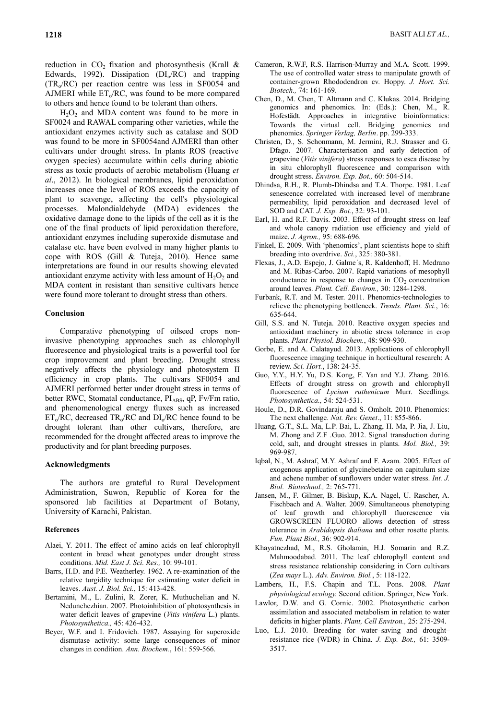reduction in  $CO<sub>2</sub>$  fixation and photosynthesis (Krall & Edwards, 1992). Dissipation  $(DI_0/RC)$  and trapping  $(TR<sub>o</sub>/RC)$  per reaction centre was less in SF0054 and AJMERI while  $ET_0/RC$ , was found to be more compared to others and hence found to be tolerant than others.

 $H_2O_2$  and MDA content was found to be more in SF0024 and RAWAL comparing other varieties, while the antioxidant enzymes activity such as catalase and SOD was found to be more in SF0054and AJMERI than other cultivars under drought stress. In plants ROS (reactive oxygen species) accumulate within cells during abiotic stress as toxic products of aerobic metabolism (Huang *et al*., 2012). In biological membranes, lipid peroxidation increases once the level of ROS exceeds the capacity of plant to scavenge, affecting the cell's physiological processes. Malondialdehyde (MDA) evidences the oxidative damage done to the lipids of the cell as it is the one of the final products of lipid peroxidation therefore, antioxidant enzymes including superoxide dismutase and catalase etc. have been evolved in many higher plants to cope with ROS (Gill & Tuteja, 2010). Hence same interpretations are found in our results showing elevated antioxidant enzyme activity with less amount of  $H_2O_2$  and MDA content in resistant than sensitive cultivars hence were found more tolerant to drought stress than others.

#### **Conclusion**

Comparative phenotyping of oilseed crops noninvasive phenotyping approaches such as chlorophyll fluorescence and physiological traits is a powerful tool for crop improvement and plant breeding. Drought stress negatively affects the physiology and photosystem II efficiency in crop plants. The cultivars SF0054 and AJMERI performed better under drought stress in terms of better RWC, Stomatal conductance, PIABS, qP, Fv/Fm ratio, and phenomenological energy fluxes such as increased  $ET<sub>o</sub>/RC$ , decreased  $TR<sub>o</sub>/RC$  and  $DI<sub>o</sub>/RC$  hence found to be drought tolerant than other cultivars, therefore, are recommended for the drought affected areas to improve the productivity and for plant breeding purposes.

#### **Acknowledgments**

The authors are grateful to Rural Development Administration, Suwon, Republic of Korea for the sponsored lab facilities at Department of Botany, University of Karachi, Pakistan.

#### **References**

- Alaei, Y. 2011. The effect of amino acids on leaf chlorophyll content in bread wheat genotypes under drought stress conditions. *Mid. East J. Sci. Res.,* 10: 99-101.
- Barrs, H.D. and P.E. Weatherley. 1962. A re-examination of the relative turgidity technique for estimating water deficit in leaves. *Aust. J. Biol. Sci.*, 15: 413-428.
- Bertamini, M., L. Zulini, R. Zorer, K. Muthuchelian and N. Nedunchezhian. 2007. Photoinhibition of photosynthesis in water deficit leaves of grapevine (*Vitis vinifera* L.) plants. *Photosynthetica.,* 45: 426-432.
- Beyer, W.F. and I. Fridovich. 1987. Assaying for superoxide dismutase activity: some large consequences of minor changes in condition. *Ann. Biochem.*, 161: 559-566.
- Cameron, R.W.F, R.S. Harrison-Murray and M.A. Scott. 1999. The use of controlled water stress to manipulate growth of container-grown Rhododendron cv. Hoppy. *J. Hort. Sci. Biotech.,* 74: 161-169.
- Chen, D., M. Chen, T. Altmann and C. Klukas. 2014. Bridging genomics and phenomics. In: (Eds.): Chen, M., R. Hofestädt. Approaches in integrative bioinformatics: Towards the virtual cell. Bridging genomics and phenomics. *Springer Verlag, Berlin*. pp. 299-333.
- Christen, D., S. Schonmann, M. Jermini, R.J. Strasser and G. Dfago. 2007. Characterisation and early detection of grapevine (*Vitis vinifera*) stress responses to esca disease by in situ chlorophyll fluorescence and comparison with drought stress. *Environ. Exp. Bot.,* 60: 504-514.
- Dhindsa, R.H., R. Plumb-Dhindsa and T.A. Thorpe. 1981. Leaf senescence correlated with increased level of membrane permeability, lipid peroxidation and decreased level of SOD and CAT. *J. Exp. Bot.*, 32: 93-101.
- Earl, H. and R.F. Davis. 2003. Effect of drought stress on leaf and whole canopy radiation use efficiency and yield of maize. *J. Agron.,* 95: 688-696.
- Finkel, E. 2009. With 'phenomics', plant scientists hope to shift breeding into overdrive. *Sci.*, 325: 380-381.
- Flexas, J., A.D. Espejo, J. Galme´s, R. Kaldenhoff, H. Medrano and M. Ribas-Carbo. 2007. Rapid variations of mesophyll conductance in response to changes in  $CO<sub>2</sub>$  concentration around leaves. *Plant. Cell. Environ.,* 30: 1284-1298.
- Furbank, R.T. and M. Tester. 2011. Phenomics-technologies to relieve the phenotyping bottleneck. *Trends. Plant. Sci.*, 16: 635-644.
- Gill, S.S. and N. Tuteja. 2010. Reactive oxygen species and antioxidant machinery in abiotic stress tolerance in crop plants. *Plant Physiol. Biochem.*, 48: 909-930.
- Gorbe, E. and A. Calatayud. 2013. Applications of chlorophyll fluorescence imaging technique in horticultural research: A review. *Sci. Hort.*, 138: 24-35.
- Guo, Y.Y., H.Y. Yu, D.S. Kong, F. Yan and Y.J. Zhang. 2016. Effects of drought stress on growth and chlorophyll fluorescence of *Lycium ruthenicum* Murr. Seedlings. *Photosynthetica.,* 54: 524-531.
- Houle, D., D.R. Govindaraju and S. Omholt. 2010. Phenomics: The next challenge. *Nat. Rev. Genet*., 11: 855-866.
- Huang, G.T., S.L. Ma, L.P. Bai, L. Zhang, H. Ma, P. Jia, J. Liu, M. Zhong and Z.F .Guo. 2012. Signal transduction during cold, salt, and drought stresses in plants. *Mol. Biol.,* 39: 969-987.
- Iqbal, N., M. Ashraf, M.Y. Ashraf and F. Azam. 2005. Effect of exogenous application of glycinebetaine on capitulum size and achene number of sunflowers under water stress. *Int. J. Biol. Biotechnol.,* 2: 765-771.
- Jansen, M., F. Gilmer, B. Biskup, K.A. Nagel, U. Rascher, A. Fischbach and A. Walter. 2009. Simultaneous phenotyping of leaf growth and chlorophyll fluorescence via GROWSCREEN FLUORO allows detection of stress tolerance in *Arabidopsis thaliana* and other rosette plants. *Fun. Plant Biol.,* 36: 902-914.
- Khayatnezhad, M., R.S. Gholamin, H.J. Somarin and R.Z. Mahmoodabad. 2011. The leaf chlorophyll content and stress resistance relationship considering in Corn cultivars (*Zea mays* L.). *Adv. Environ. Biol.*, 5: 118-122.
- Lambers, H., F.S. Chapin and T.L. Pons. 2008. *Plant physiological ecology.* Second edition. Springer, New York.
- Lawlor, D.W. and G. Cornic. 2002. Photosynthetic carbon assimilation and associated metabolism in relation to water deficits in higher plants. *Plant, Cell Environ.,* 25: 275-294.
- Luo, L.J. 2010. Breeding for water–saving and drought– resistance rice (WDR) in China. *J. Exp. Bot.,* 61: 3509- 3517.